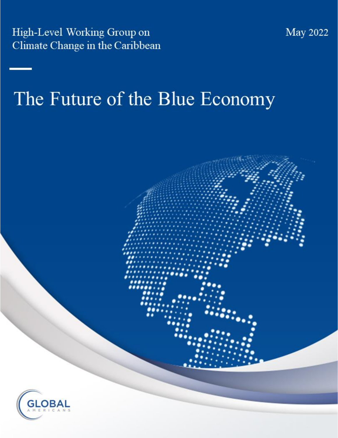High-Level Working Group on Climate Change in the Caribbean

# The Future of the Blue Economy



**May 2022**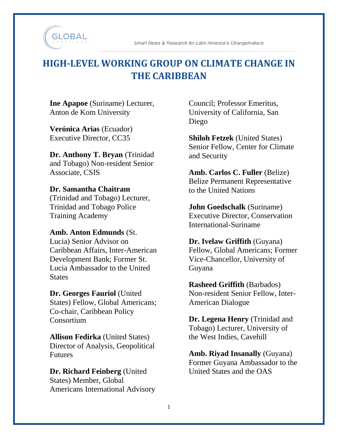

Smart News & Research for Latin America's Changemakers

# **HIGH-LEVEL WORKING GROUP ON CLIMATE CHANGE IN THE CARIBBEAN**

**Ine Apapoe** (Suriname) Lecturer, Anton de Kom University

**Verónica Arias** (Ecuador) Executive Director, CC35

**Dr. Anthony T. Bryan** (Trinidad and Tobago) Non-resident Senior Associate, CSIS

#### **Dr. Samantha Chaitram**

(Trinidad and Tobago) Lecturer, Trinidad and Tobago Police Training Academy

#### **Amb. Anton Edmunds** (St.

Lucia) Senior Advisor on Caribbean Affairs, Inter-American Development Bank; Former St. Lucia Ambassador to the United **States** 

#### **Dr. Georges Fauriol** (United

States) Fellow, Global Americans; Co-chair, Caribbean Policy **Consortium** 

**Allison Fedirka** (United States) Director of Analysis, Geopolitical Futures

**Dr. Richard Feinberg** (United States) Member, Global Americans International Advisory Council; Professor Emeritus, University of California, San Diego

**Shiloh Fetzek** (United States) Senior Fellow, Center for Climate and Security

**Amb. Carlos C. Fuller** (Belize) Belize Permanent Representative to the United Nations

**John Goedschalk** (Suriname) Executive Director, Conservation International-Suriname

**Dr. Ivelaw Griffith** (Guyana) Fellow, Global Americans; Former Vice-Chancellor, University of Guyana

**Rasheed Griffith** (Barbados) Non-resident Senior Fellow, Inter-American Dialogue

**Dr. Legena Henry** (Trinidad and Tobago) Lecturer, University of the West Indies, Cavehill

**Amb. Riyad Insanally** (Guyana) Former Guyana Ambassador to the United States and the OAS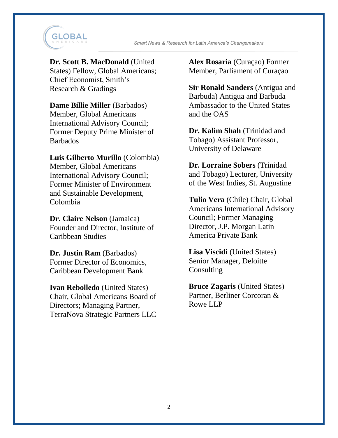

#### **Dr. Scott B. MacDonald** (United

States) Fellow, Global Americans; Chief Economist, Smith's Research & Gradings

**Dame Billie Miller** (Barbados)

Member, Global Americans International Advisory Council; Former Deputy Prime Minister of Barbados

#### **Luis Gilberto Murillo** (Colombia)

Member, Global Americans International Advisory Council; Former Minister of Environment and Sustainable Development, Colombia

**Dr. Claire Nelson** (Jamaica) Founder and Director, Institute of Caribbean Studies

**Dr. Justin Ram** (Barbados) Former Director of Economics, Caribbean Development Bank

**Ivan Rebolledo** (United States) Chair, Global Americans Board of Directors; Managing Partner, TerraNova Strategic Partners LLC **Alex Rosaria** (Curaçao) Former Member, Parliament of Curaçao

**Sir Ronald Sanders** (Antigua and Barbuda) Antigua and Barbuda Ambassador to the United States and the OAS

**Dr. Kalim Shah** (Trinidad and Tobago) Assistant Professor, University of Delaware

**Dr. Lorraine Sobers** (Trinidad and Tobago) Lecturer, University of the West Indies, St. Augustine

**Tulio Vera** (Chile) Chair, Global Americans International Advisory Council; Former Managing Director, J.P. Morgan Latin America Private Bank

**Lisa Viscidi** (United States) Senior Manager, Deloitte Consulting

**Bruce Zagaris** (United States) Partner, Berliner Corcoran & Rowe LLP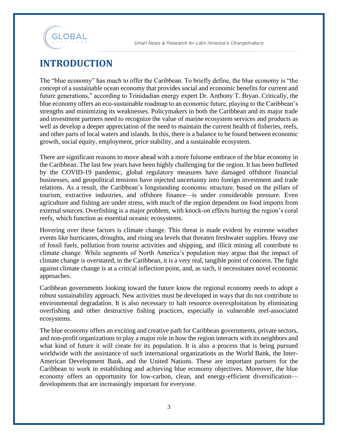

# **INTRODUCTION**

The "blue economy" has much to offer the Caribbean. To briefly define, the blue economy is "the concept of a sustainable ocean economy that provides social and economic benefits for current and future generations," according to Trinidadian energy expert Dr. Anthony T. Bryan. Critically, the blue economy offers an eco-sustainable roadmap to an economic future, playing to the Caribbean's strengths and minimizing its weaknesses. Policymakers in both the Caribbean and its major trade and investment partners need to recognize the value of marine ecosystem services and products as well as develop a deeper appreciation of the need to maintain the current health of fisheries, reefs, and other parts of local waters and islands. In this, there is a balance to be found between economic growth, social equity, employment, price stability, and a sustainable ecosystem.

There are significant reasons to move ahead with a more fulsome embrace of the blue economy in the Caribbean. The last few years have been highly challenging for the region. It has been buffeted by the COVID-19 pandemic, global regulatory measures have damaged offshore financial businesses, and geopolitical tensions have injected uncertainty into foreign investment and trade relations. As a result, the Caribbean's longstanding economic structure, based on the pillars of tourism, extractive industries, and offshore finance—is under considerable pressure. Even agriculture and fishing are under stress, with much of the region dependent on food imports from external sources. Overfishing is a major problem, with knock-on effects hurting the region's coral reefs, which function as essential oceanic ecosystems.

Hovering over these factors is climate change. This threat is made evident by extreme weather events like hurricanes, droughts, and rising sea levels that threaten freshwater supplies. Heavy use of fossil fuels, pollution from tourist activities and shipping, and illicit mining all contribute to climate change. While segments of North America's population may argue that the impact of climate change is overstated, in the Caribbean, it is a very real, tangible point of concern. The fight against climate change is at a critical inflection point, and, as such, it necessitates novel economic approaches.

Caribbean governments looking toward the future know the regional economy needs to adopt a robust sustainability approach. New activities must be developed in ways that do not contribute to environmental degradation. It is also necessary to halt resource overexploitation by eliminating overfishing and other destructive fishing practices, especially in vulnerable reef-associated ecosystems.

The blue economy offers an exciting and creative path for Caribbean governments, private sectors, and non-profit organizations to play a major role in how the region interacts with its neighbors and what kind of future it will create for its population. It is also a process that is being pursued worldwide with the assistance of such international organizations as the World Bank, the Inter-American Development Bank, and the United Nations. These are important partners for the Caribbean to work in establishing and achieving blue economy objectives. Moreover, the blue economy offers an opportunity for low-carbon, clean, and energy-efficient diversification developments that are increasingly important for everyone.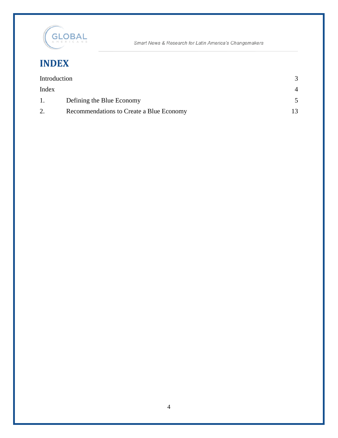

Smart News & Research for Latin America's Changemakers

# **INDEX**

| Introduction |                                          |                |
|--------------|------------------------------------------|----------------|
| Index        |                                          | $\overline{4}$ |
| 1.           | Defining the Blue Economy                |                |
| 2.           | Recommendations to Create a Blue Economy |                |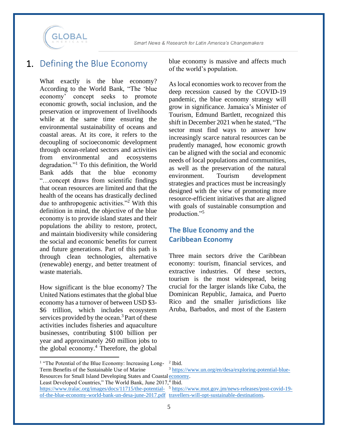

### 1. Defining the Blue Economy

What exactly is the blue economy? According to the World Bank, "The 'blue economy' concept seeks to promote economic growth, social inclusion, and the preservation or improvement of livelihoods while at the same time ensuring the environmental sustainability of oceans and coastal areas. At its core, it refers to the decoupling of socioeconomic development through ocean-related sectors and activities from environmental and ecosystems degradation."<sup>1</sup> To this definition, the World Bank adds that the blue economy "…concept draws from scientific findings that ocean resources are limited and that the health of the oceans has drastically declined due to anthropogenic activities."<sup>2</sup> With this definition in mind, the objective of the blue economy is to provide island states and their populations the ability to restore, protect, and maintain biodiversity while considering the social and economic benefits for current and future generations. Part of this path is through clean technologies, alternative (renewable) energy, and better treatment of waste materials.

How significant is the blue economy? The United Nations estimates that the global blue economy has a turnover of between USD \$3- \$6 trillion, which includes ecosystem services provided by the ocean.<sup>3</sup> Part of these activities includes fisheries and aquaculture businesses, contributing \$100 billion per year and approximately 260 million jobs to the global economy.<sup>4</sup> Therefore, the global blue economy is massive and affects much of the world's population.

As local economies work to recover from the deep recession caused by the COVID-19 pandemic, the blue economy strategy will grow in significance. Jamaica's Minister of Tourism, Edmund Bartlett, recognized this shift in December 2021 when he stated, "The sector must find ways to answer how increasingly scarce natural resources can be prudently managed, how economic growth can be aligned with the social and economic needs of local populations and communities, as well as the preservation of the natural environment. Tourism development strategies and practices must be increasingly designed with the view of promoting more resource-efficient initiatives that are aligned with goals of sustainable consumption and production."<sup>5</sup>

#### **The Blue Economy and the Caribbean Economy**

Three main sectors drive the Caribbean economy: tourism, financial services, and extractive industries. Of these sectors, tourism is the most widespread, being crucial for the larger islands like Cuba, the Dominican Republic, Jamaica, and Puerto Rico and the smaller jurisdictions like Aruba, Barbados, and most of the Eastern

<sup>&</sup>lt;sup>1</sup> "The Potential of the Blue Economy: Increasing Long-Term Benefits of the Sustainable Use of Marine Resources for Small Island Developing States and Coastal [economy.](https://www.un.org/en/desa/exploring-potential-blue-economy) Least Developed Countries," The World Bank, June 2017,4 Ibid. https://www.tralac.org/images/docs/11715/the-potential- <sup>5</sup> [https://www.mot.gov.jm/news-releases/post-covid-19](https://www.mot.gov.jm/news-releases/post-covid-19-travellers-will-opt-sustainable-destinations) [of-the-blue-economy-world-bank-un-desa-june-2017.pdf](https://www.tralac.org/images/docs/11715/the-potential-of-the-blue-economy-world-bank-un-desa-june-2017.pdf) [travellers-will-opt-sustainable-destinations.](https://www.mot.gov.jm/news-releases/post-covid-19-travellers-will-opt-sustainable-destinations)2 Ibid. <sup>3</sup> [https://www.un.org/en/desa/exploring-potential-blue-](https://www.un.org/en/desa/exploring-potential-blue-economy)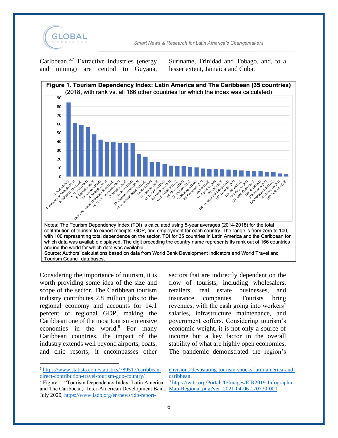

Caribbean.<sup>6,7</sup> Extractive industries (energy and mining) are central to Guyana,

Suriname, Trinidad and Tobago, and, to a lesser extent, Jamaica and Cuba.



Considering the importance of tourism, it is worth providing some idea of the size and scope of the sector. The Caribbean tourism industry contributes 2.8 million jobs to the regional economy and accounts for 14.1 percent of regional GDP, making the Caribbean one of the most tourism-intensive economies in the world. $8$  For many Caribbean countries, the impact of the industry extends well beyond airports, boats, and chic resorts; it encompasses other

sectors that are indirectly dependent on the flow of tourists, including wholesalers, retailers, real estate businesses, and insurance companies. Tourists bring revenues, with the cash going into workers' salaries, infrastructure maintenance, and government coffers. Considering tourism's economic weight, it is not only a source of income but a key factor in the overall stability of what are highly open economies. The pandemic demonstrated the region's

<sup>8</sup> [https://wttc.org/Portals/0/Images/EIR2019-Infographic-](https://wttc.org/Portals/0/Images/EIR2019-Infographic-Map-Regional.png?ver=2021-04-06-170730-000)

<sup>6</sup> [https://www.statista.com/statistics/789517/caribbean](https://www.statista.com/statistics/789517/caribbean-direct-contribution-travel-tourism-gdp-country/)[direct-contribution-travel-tourism-gdp-country/](https://www.statista.com/statistics/789517/caribbean-direct-contribution-travel-tourism-gdp-country/)

<sup>7</sup> Figure 1: "Tourism Dependency Index: Latin America and The Caribbean," Inter-American Development Bank, [Map-Regional.png?ver=2021-04-06-170730-000](https://wttc.org/Portals/0/Images/EIR2019-Infographic-Map-Regional.png?ver=2021-04-06-170730-000) July 2020, [https://www.iadb.org/en/news/idb-report-](https://www.iadb.org/en/news/idb-report-envisions-devastating-tourism-shocks-latin-america-and-caribbean)

[envisions-devastating-tourism-shocks-latin-america-and](https://www.iadb.org/en/news/idb-report-envisions-devastating-tourism-shocks-latin-america-and-caribbean)[caribbean.](https://www.iadb.org/en/news/idb-report-envisions-devastating-tourism-shocks-latin-america-and-caribbean)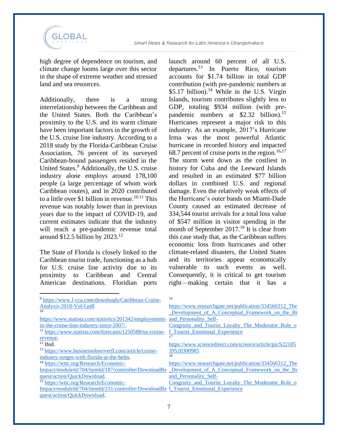

high degree of dependence on tourism, and climate change looms large over this sector in the shape of extreme weather and stressed land and sea resources.

Additionally, there is a strong interrelationship between the Caribbean and the United States. Both the Caribbean's proximity to the U.S. and its warm climate have been important factors in the growth of the U.S. cruise line industry. According to a 2018 study by the Florida-Caribbean Cruise Association, 76 percent of its surveyed Caribbean-bound passengers resided in the United States.<sup>9</sup> Additionally, the U.S. cruise industry alone employs around 178,100 people (a large percentage of whom work Caribbean routes), and in 2020 contributed to a little over \$1 billion in revenue.<sup>10,11</sup> This revenue was notably lower than in previous years due to the impact of COVID-19, and current estimates indicate that the industry will reach a pre-pandemic revenue total around  $$12.5$  billion by 2023.<sup>12</sup>

The State of Florida is closely linked to the Caribbean tourist trade, functioning as a hub for U.S. cruise line activity due to its proximity to Caribbean and Central American destinations. Floridian ports

launch around 60 percent of all U.S. departures. <sup>13</sup> In Puerto Rico, tourism accounts for \$1.74 billion in total GDP contribution (with pre-pandemic numbers at  $$5.17$  billion).<sup>14</sup> While in the U.S. Virgin Islands, tourism contributes slightly less to GDP, totaling \$934 million (with prepandemic numbers at \$2.32 billion).<sup>15</sup> Hurricanes represent a major risk to this industry. As an example, 2017's Hurricane Irma was the most powerful Atlantic hurricane in recorded history and impacted 68.7 percent of cruise ports in the region.<sup>16,17</sup> The storm went down as the costliest in history for Cuba and the Leeward Islands and resulted in an estimated \$77 billion dollars in combined U.S. and regional damage. Even the relatively weak effects of the Hurricane's outer bands on Miami-Dade County caused an estimated decrease of 334,544 tourist arrivals for a total loss value of \$547 million in visitor spending in the month of September 2017.<sup>18</sup> It is clear from this case study that, as the Caribbean suffers economic loss from hurricanes and other climate-related disasters, the United States and its territories appear economically vulnerable to such events as well. Consequently, it is critical to get tourism right—making certain that it has a

| <sup>9</sup> https://www.f-cca.com/downloads/Caribbean-Cruise-                      | 16                                                                                                   |
|-------------------------------------------------------------------------------------|------------------------------------------------------------------------------------------------------|
| Analysis-2018-Vol-Lpdf                                                              | https://www.researchgate.net/publication/334560312 The                                               |
| 10                                                                                  | Development of A Conceptual Framework on the Br                                                      |
| https://www.statista.com/statistics/201342/employement- and Personality Self-       |                                                                                                      |
| in-the-cruise-line-industry-since-2007/.                                            | Congruity and Tourist Loyalty The Moderator Role of                                                  |
| <sup>11</sup> https://www.statista.com/forecasts/1250588/us-cruise-                 | f Tourist Emotional Experience                                                                       |
| revenue.                                                                            |                                                                                                      |
| $12$ Ibid.                                                                          | https://www.sciencedirect.com/science/article/pii/S22105                                             |
| <sup>13</sup> https://www.businessobserverfl.com/article/cruise-                    | 39520300985                                                                                          |
| industry-surges-with-florida-at-the-helm.                                           | 18                                                                                                   |
| <sup>14</sup> https://wttc.org/Research/Economic-                                   | https://www.researchgate.net/publication/334560312_The                                               |
|                                                                                     | Impact/moduleId/704/itemId/187/controller/DownloadRe Development of A Conceptual Framework on the Br |
| quest/action/QuickDownload.                                                         | and Personality Self-                                                                                |
| <sup>15</sup> https://wttc.org/Research/Economic-                                   | Congruity and Tourist Loyalty The Moderator Role o                                                   |
| Impact/moduleId/704/itemId/231/controller/DownloadRe f Tourist Emotional Experience |                                                                                                      |
| quest/action/QuickDownload.                                                         |                                                                                                      |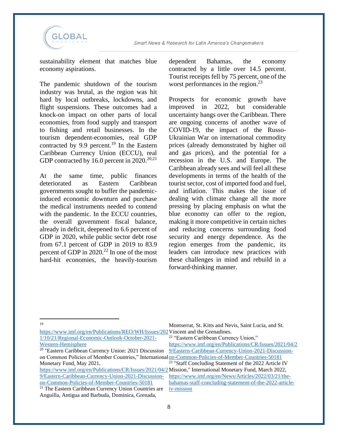

sustainability element that matches blue economy aspirations.

The pandemic shutdown of the tourism industry was brutal, as the region was hit hard by local outbreaks, lockdowns, and flight suspensions. These outcomes had a knock-on impact on other parts of local economies, from food supply and transport to fishing and retail businesses. In the tourism dependent-economies, real GDP contracted by 9.9 percent. <sup>19</sup> In the Eastern Caribbean Currency Union (ECCU), real GDP contracted by 16.0 percent in  $2020.^{20,21}$ 

At the same time, public finances deteriorated as Eastern Caribbean governments sought to buffer the pandemicinduced economic downturn and purchase the medical instruments needed to contend with the pandemic. In the ECCU countries, the overall government fiscal balance, already in deficit, deepened to 6.6 percent of GDP in 2020, while public sector debt rose from 67.1 percent of GDP in 2019 to 83.9 percent of GDP in  $2020$ <sup>22</sup> In one of the most hard-hit economies, the heavily-tourism

dependent Bahamas, the economy contracted by a little over 14.5 percent. Tourist receipts fell by 75 percent, one of the worst performances in the region.<sup>23</sup>

Prospects for economic growth have improved in 2022, but considerable uncertainty hangs over the Caribbean. There are ongoing concerns of another wave of COVID-19, the impact of the Russo-Ukrainian War on international commodity prices (already demonstrated by higher oil and gas prices), and the potential for a recession in the U.S. and Europe. The Caribbean already sees and will feel all these developments in terms of the health of the tourist sector, cost of imported food and fuel, and inflation. This makes the issue of dealing with climate change all the more pressing by placing emphasis on what the blue economy can offer to the region, making it more competitive in certain niches and reducing concerns surrounding food security and energy dependence. As the region emerges from the pandemic, its leaders can introduce new practices with these challenges in mind and rebuild in a forward-thinking manner.

19

[https://www.imf.org/en/Publications/REO/WH/Issues/202](https://www.imf.org/en/Publications/REO/WH/Issues/2021/10/21/Regional-Economic-Outlook-October-2021-Western-Hemisphere) Vincent and the Grenadines. [1/10/21/Regional-Economic-Outlook-October-2021-](https://www.imf.org/en/Publications/REO/WH/Issues/2021/10/21/Regional-Economic-Outlook-October-2021-Western-Hemisphere) [Western-Hemisphere](https://www.imf.org/en/Publications/REO/WH/Issues/2021/10/21/Regional-Economic-Outlook-October-2021-Western-Hemisphere) <sup>22</sup> "Eastern Caribbean Currency Union," [https://www.imf.org/en/Publications/CR/Issues/2021/04/2](https://www.imf.org/en/Publications/CR/Issues/2021/04/29/Eastern-Caribbean-Currency-Union-2021-Discussion-on-Common-Policies-of-Member-Countries-50181)

<sup>20</sup> "Eastern Caribbean Currency Union: 2021 Discussion on Common Policies of Member Countries," International [on-Common-Policies-of-Member-Countries-50181](https://www.imf.org/en/Publications/CR/Issues/2021/04/29/Eastern-Caribbean-Currency-Union-2021-Discussion-on-Common-Policies-of-Member-Countries-50181) Monetary Fund, May 2021,

[9/Eastern-Caribbean-Currency-Union-2021-Discussion](https://www.imf.org/en/Publications/CR/Issues/2021/04/29/Eastern-Caribbean-Currency-Union-2021-Discussion-on-Common-Policies-of-Member-Countries-50181)[on-Common-Policies-of-Member-Countries-50181](https://www.imf.org/en/Publications/CR/Issues/2021/04/29/Eastern-Caribbean-Currency-Union-2021-Discussion-on-Common-Policies-of-Member-Countries-50181)

Montserrat, St. Kitts and Nevis, Saint Lucia, and St.

<sup>&</sup>lt;sup>21</sup> The Eastern Caribbean Currency Union Countries are Anguilla, Antigua and Barbuda, Dominica, Grenada,

[<sup>9/</sup>Eastern-Caribbean-Currency-Union-2021-Discussion-](https://www.imf.org/en/Publications/CR/Issues/2021/04/29/Eastern-Caribbean-Currency-Union-2021-Discussion-on-Common-Policies-of-Member-Countries-50181)

[https://www.imf.org/en/Publications/CR/Issues/2021/04/2](https://www.imf.org/en/Publications/CR/Issues/2021/04/29/Eastern-Caribbean-Currency-Union-2021-Discussion-on-Common-Policies-of-Member-Countries-50181) Mission," International Monetary Fund, March 2022,  $23$  "Staff Concluding Statement of the 2022 Article IV [https://www.imf.org/en/News/Articles/2022/03/21/the](https://www.imf.org/en/News/Articles/2022/03/21/the-bahamas-staff-concluding-statement-of-the-2022-article-iv-mission)[bahamas-staff-concluding-statement-of-the-2022-article](https://www.imf.org/en/News/Articles/2022/03/21/the-bahamas-staff-concluding-statement-of-the-2022-article-iv-mission)[iv-mission](https://www.imf.org/en/News/Articles/2022/03/21/the-bahamas-staff-concluding-statement-of-the-2022-article-iv-mission)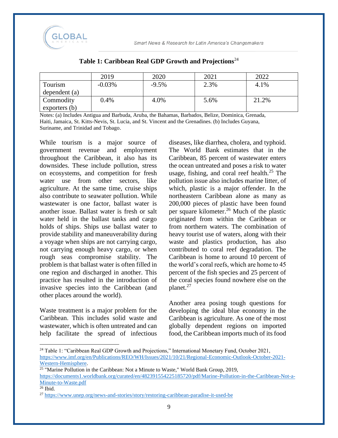

|               | 2019      | 2020     | 2021 | 2022  |
|---------------|-----------|----------|------|-------|
| Tourism       | $-0.03\%$ | $-9.5\%$ | 2.3% | 4.1%  |
| dependent (a) |           |          |      |       |
| Commodity     | $0.4\%$   | 4.0%     | 5.6% | 21.2% |
| exporters(b)  |           |          |      |       |

#### **Table 1: Caribbean Real GDP Growth and Projections**<sup>24</sup>

Notes: (a) Includes Antigua and Barbuda, Aruba, the Bahamas, Barbados, Belize, Dominica, Grenada, Haiti, Jamaica, St. Kitts-Nevis, St. Lucia, and St. Vincent and the Grenadines. (b) Includes Guyana, Suriname, and Trinidad and Tobago.

While tourism is a major source of government revenue and employment throughout the Caribbean, it also has its downsides. These include pollution, stress on ecosystems, and competition for fresh water use from other sectors, like agriculture. At the same time, cruise ships also contribute to seawater pollution. While wastewater is one factor, ballast water is another issue. Ballast water is fresh or salt water held in the ballast tanks and cargo holds of ships. Ships use ballast water to provide stability and maneuverability during a voyage when ships are not carrying cargo, not carrying enough heavy cargo, or when rough seas compromise stability. The problem is that ballast water is often filled in one region and discharged in another. This practice has resulted in the introduction of invasive species into the Caribbean (and other places around the world).

Waste treatment is a major problem for the Caribbean. This includes solid waste and wastewater, which is often untreated and can help facilitate the spread of infectious

diseases, like diarrhea, cholera, and typhoid. The World Bank estimates that in the Caribbean, 85 percent of wastewater enters the ocean untreated and poses a risk to water usage, fishing, and coral reef health.<sup>25</sup> The pollution issue also includes marine litter, of which, plastic is a major offender. In the northeastern Caribbean alone as many as 200,000 pieces of plastic have been found per square kilometer.<sup>26</sup> Much of the plastic originated from within the Caribbean or from northern waters. The combination of heavy tourist use of waters, along with their waste and plastics production, has also contributed to coral reef degradation. The Caribbean is home to around 10 percent of the world's coral reefs, which are home to 45 percent of the fish species and 25 percent of the coral species found nowhere else on the planet.<sup>27</sup>

Another area posing tough questions for developing the ideal blue economy in the Caribbean is agriculture. As one of the most globally dependent regions on imported food, the Caribbean imports much of its food

<sup>&</sup>lt;sup>24</sup> Table 1: "Caribbean Real GDP Growth and Projections," International Monetary Fund, October 2021, [https://www.imf.org/en/Publications/REO/WH/Issues/2021/10/21/Regional-Economic-Outlook-October-2021-](https://www.imf.org/en/Publications/REO/WH/Issues/2021/10/21/Regional-Economic-Outlook-October-2021-Western-Hemisphere) [Western-Hemisphere.](https://www.imf.org/en/Publications/REO/WH/Issues/2021/10/21/Regional-Economic-Outlook-October-2021-Western-Hemisphere)

 $25$  "Marine Pollution in the Caribbean: Not a Minute to Waste," World Bank Group, 2019, [https://documents1.worldbank.org/curated/en/482391554225185720/pdf/Marine-Pollution-in-the-Caribbean-Not-a-](https://documents1.worldbank.org/curated/en/482391554225185720/pdf/Marine-Pollution-in-the-Caribbean-Not-a-Minute-to-Waste.pdf)[Minute-to-Waste.pdf](https://documents1.worldbank.org/curated/en/482391554225185720/pdf/Marine-Pollution-in-the-Caribbean-Not-a-Minute-to-Waste.pdf)  $26$  Ibid.

<sup>27</sup> <https://www.unep.org/news-and-stories/story/restoring-caribbean-paradise-it-used-be>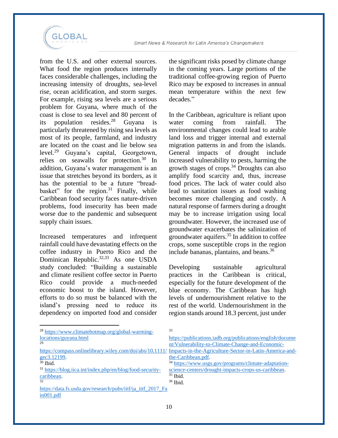

from the U.S. and other external sources. What food the region produces internally faces considerable challenges, including the increasing intensity of droughts, sea-level rise, ocean acidification, and storm surges. For example, rising sea levels are a serious problem for Guyana, where much of the coast is close to sea level and 80 percent of its population resides.<sup>28</sup> Guyana is particularly threatened by rising sea levels as most of its people, farmland, and industry are located on the coast and lie below sea level.<sup>29</sup> Guyana's capital, Georgetown, relies on seawalls for protection.<sup>30</sup> In addition, Guyana's water management is an issue that stretches beyond its borders, as it has the potential to be a future "breadbasket" for the region. $31$  Finally, while Caribbean food security faces nature-driven problems, food insecurity has been made worse due to the pandemic and subsequent supply chain issues.

Increased temperatures and infrequent rainfall could have devastating effects on the coffee industry in Puerto Rico and the Dominican Republic.<sup>32,33</sup> As one USDA study concluded: "Building a sustainable and climate resilient coffee sector in Puerto Rico could provide a much-needed economic boost to the island. However, efforts to do so must be balanced with the island's pressing need to reduce its dependency on imported food and consider

the significant risks posed by climate change in the coming years. Large portions of the traditional coffee-growing region of Puerto Rico may be exposed to increases in annual mean temperature within the next few decades."

In the Caribbean, agriculture is reliant upon water coming from rainfall. The environmental changes could lead to arable land loss and trigger internal and external migration patterns in and from the islands. General impacts of drought include increased vulnerability to pests, harming the growth stages of crops.<sup>34</sup> Droughts can also amplify food scarcity and, thus, increase food prices. The lack of water could also lead to sanitation issues as food washing becomes more challenging and costly. A natural response of farmers during a drought may be to increase irrigation using local groundwater. However, the increased use of groundwater exacerbates the salinization of groundwater aquifers.<sup>35</sup> In addition to coffee crops, some susceptible crops in the region include bananas, plantains, and beans. 36

Developing sustainable agricultural practices in the Caribbean is critical, especially for the future development of the blue economy. The Caribbean has high levels of undernourishment relative to the rest of the world. Undernourishment in the region stands around 18.3 percent, just under

| <sup>28</sup> https://www.climatehotmap.org/global-warming-          | 33                                                                                                               |
|----------------------------------------------------------------------|------------------------------------------------------------------------------------------------------------------|
| locations/guyana.html                                                | https://publications.iadb.org/publications/english/docume                                                        |
| 29                                                                   | nt/Vulnerability-to-Climate-Change-and-Economic-                                                                 |
|                                                                      | https://compass.onlinelibrary.wiley.com/doi/abs/10.1111/ Impacts-in-the-Agriculture-Sector-in-Latin-America-and- |
| gec3.12199.                                                          | the-Caribbean.pdf.                                                                                               |
| $30$ Ibid.                                                           | <sup>34</sup> https://www.usgs.gov/programs/climate-adaptation-                                                  |
| <sup>31</sup> https://blog.iica.int/index.php/en/blog/food-security- | science-centers/drought-impacts-crops-us-caribbean.                                                              |
| caribbean.                                                           | $35$ Ibid.                                                                                                       |
| 32                                                                   | $36$ Ibid.                                                                                                       |
| https://data.fs.usda.gov/research/pubs/iitf/ja iitf 2017 Fa          |                                                                                                                  |
| in 001.pdf                                                           |                                                                                                                  |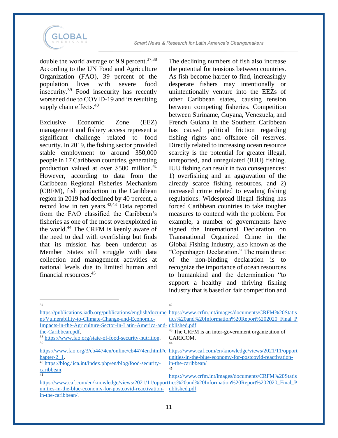

double the world average of 9.9 percent.<sup>37,38</sup> According to the UN Food and Agriculture Organization (FAO), 39 percent of the population lives with severe food insecurity. <sup>39</sup> Food insecurity has recently worsened due to COVID-19 and its resulting supply chain effects.<sup>40</sup>

Exclusive Economic Zone (EEZ) management and fishery access represent a significant challenge related to food security. In 2019, the fishing sector provided stable employment to around 350,000 people in 17 Caribbean countries, generating production valued at over  $$500$  million.<sup>41</sup> However, according to data from the Caribbean Regional Fisheries Mechanism (CRFM), fish production in the Caribbean region in 2019 had declined by 40 percent, a record low in ten years.<sup>42,43</sup> Data reported from the FAO classified the Caribbean's fisheries as one of the most overexploited in the world.<sup>44</sup> The CRFM is keenly aware of the need to deal with overfishing but finds that its mission has been undercut as Member States still struggle with data collection and management activities at national levels due to limited human and financial resources.<sup>45</sup>

The declining numbers of fish also increase the potential for tensions between countries. As fish become harder to find, increasingly desperate fishers may intentionally or unintentionally venture into the EEZs of other Caribbean states, causing tension between competing fisheries. Competition between Suriname, Guyana, Venezuela, and French Guiana in the Southern Caribbean has caused political friction regarding fishing rights and offshore oil reserves. Directly related to increasing ocean resource scarcity is the potential for greater illegal, unreported, and unregulated (IUU) fishing. IUU fishing can result in two consequences: 1) overfishing and an aggravation of the already scarce fishing resources, and 2) increased crime related to evading fishing regulations. Widespread illegal fishing has forced Caribbean countries to take tougher measures to contend with the problem. For example, a number of governments have signed the International Declaration on Transnational Organized Crime in the Global Fishing Industry, also known as the "Copenhagen Declaration." The main thrust of the non-binding declaration is to recognize the importance of ocean resources to humankind and the determination "to support a healthy and thriving fishing industry that is based on fair competition and

| 37                                                                   | 42                                                                                                            |
|----------------------------------------------------------------------|---------------------------------------------------------------------------------------------------------------|
|                                                                      | https://publications.iadb.org/publications/english/docume_https://www.crfm.int/images/documents/CRFM%20Statis |
| nt/Vulnerability-to-Climate-Change-and-Economic-                     | tics%20and%20Information%20Report%202020 Final P                                                              |
| Impacts-in-the-Agriculture-Sector-in-Latin-America-and- ublished.pdf |                                                                                                               |
| the-Caribbean.pdf.                                                   | <sup>43</sup> The CRFM is an inter-government organization of                                                 |
| <sup>38</sup> https://www.fao.org/state-of-food-security-nutrition.  | CARICOM.                                                                                                      |
| 39                                                                   | 44                                                                                                            |
|                                                                      | https://www.fao.org/3/cb4474en/online/cb4474en.html#c_https://www.caf.com/en/knowledge/views/2021/11/opport   |
| hapter- $2\,1$ .                                                     | unities-in-the-blue-economy-for-postcovid-reactivation-                                                       |
| 40 https://blog.iica.int/index.php/en/blog/food-security-            | in-the-caribbean/                                                                                             |
| caribbean.                                                           | 45                                                                                                            |
| 41                                                                   | https://www.crfm.int/images/documents/CRFM%20Statis                                                           |
|                                                                      | https://www.caf.com/en/knowledge/views/2021/11/opporttics%20and%20Information%20Report%202020 Final P         |
| unities-in-the-blue-economy-for-postcovid-reactivation-              | ublished.pdf                                                                                                  |
| in-the-caribbean/.                                                   |                                                                                                               |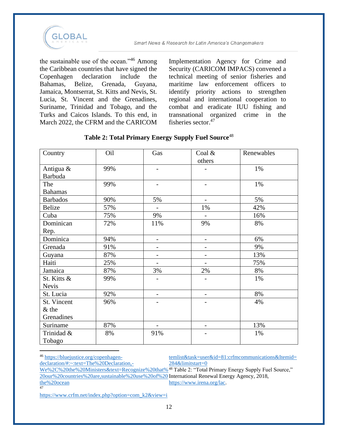

the sustainable use of the ocean."<sup>46</sup> Among the Caribbean countries that have signed the Copenhagen declaration include the Bahamas, Belize, Grenada, Guyana, Jamaica, Montserrat, St. Kitts and Nevis, St. Lucia, St. Vincent and the Grenadines, Suriname, Trinidad and Tobago, and the Turks and Caicos Islands. To this end, in March 2022, the CFRM and the CARICOM Implementation Agency for Crime and Security (CARICOM IMPACS) convened a technical meeting of senior fisheries and maritime law enforcement officers to identify priority actions to strengthen regional and international cooperation to combat and eradicate IUU fishing and transnational organized crime in the fisheries sector.<sup>47</sup>

| Country                     | Oil | Gas                      | Coal $&$<br>others       | Renewables |
|-----------------------------|-----|--------------------------|--------------------------|------------|
| Antigua &<br><b>Barbuda</b> | 99% | $\overline{\phantom{a}}$ | -                        | 1%         |
| The<br><b>Bahamas</b>       | 99% | $\overline{\phantom{a}}$ | $\overline{\phantom{a}}$ | 1%         |
| <b>Barbados</b>             | 90% | 5%                       | $\overline{\phantom{0}}$ | 5%         |
| <b>Belize</b>               | 57% | $\overline{\phantom{0}}$ | 1%                       | 42%        |
| Cuba                        | 75% | 9%                       | $\overline{a}$           | 16%        |
| Dominican                   | 72% | 11%                      | 9%                       | 8%         |
| Rep.                        |     |                          |                          |            |
| Dominica                    | 94% | $\overline{\phantom{a}}$ | $\overline{\phantom{a}}$ | 6%         |
| Grenada                     | 91% | $\qquad \qquad -$        | $\overline{\phantom{0}}$ | 9%         |
| Guyana                      | 87% | $\overline{\phantom{a}}$ | $\overline{\phantom{a}}$ | 13%        |
| Haiti                       | 25% | $\qquad \qquad -$        | $\overline{\phantom{a}}$ | 75%        |
| Jamaica                     | 87% | 3%                       | 2%                       | 8%         |
| St. Kitts &                 | 99% | -                        | $\overline{\phantom{0}}$ | 1%         |
| <b>Nevis</b>                |     |                          |                          |            |
| St. Lucia                   | 92% |                          |                          | 8%         |
| St. Vincent                 | 96% |                          |                          | 4%         |
| $&$ the                     |     |                          |                          |            |
| Grenadines                  |     |                          |                          |            |
| Suriname                    | 87% | $\overline{\phantom{a}}$ | $\overline{\phantom{0}}$ | 13%        |
| Trinidad &<br>Tobago        | 8%  | 91%                      |                          | 1%         |

#### **Table 2: Total Primary Energy Supply Fuel Source**<sup>48</sup>

<sup>46</sup> [https://bluejustice.org/copenhagen](https://bluejustice.org/copenhagen-declaration/#:~:text=The%20Declaration,-We%2C%20the%20Ministers&text=Recognize%20that%20our%20countries%20are,sustainable%20use%20of%20the%20ocean)[declaration/#:~:text=The%20Declaration,-](https://bluejustice.org/copenhagen-declaration/#:~:text=The%20Declaration,-We%2C%20the%20Ministers&text=Recognize%20that%20our%20countries%20are,sustainable%20use%20of%20the%20ocean) [We%2C%20the%20Ministers&text=Recognize%20that%](https://bluejustice.org/copenhagen-declaration/#:~:text=The%20Declaration,-We%2C%20the%20Ministers&text=Recognize%20that%20our%20countries%20are,sustainable%20use%20of%20the%20ocean) <sup>48</sup> Table 2: "Total Primary Energy Supply Fuel Source," [temlist&task=user&id=81:crfmcommunications&Itemid=](https://www.crfm.net/index.php?option=com_k2&view=itemlist&task=user&id=81:crfmcommunications&Itemid=284&limitstart=0) [284&limitstart=0](https://www.crfm.net/index.php?option=com_k2&view=itemlist&task=user&id=81:crfmcommunications&Itemid=284&limitstart=0)

[20our%20countries%20are,sustainable%20use%20of%20](https://bluejustice.org/copenhagen-declaration/#:~:text=The%20Declaration,-We%2C%20the%20Ministers&text=Recognize%20that%20our%20countries%20are,sustainable%20use%20of%20the%20ocean) International Renewal Energy Agency, 2018, [the%20ocean](https://bluejustice.org/copenhagen-declaration/#:~:text=The%20Declaration,-We%2C%20the%20Ministers&text=Recognize%20that%20our%20countries%20are,sustainable%20use%20of%20the%20ocean) [https://www.irena.org/lac.](https://www.irena.org/lac)

[https://www.crfm.net/index.php?option=com\\_k2&view=i](https://www.crfm.net/index.php?option=com_k2&view=itemlist&task=user&id=81:crfmcommunications&Itemid=284&limitstart=0)

47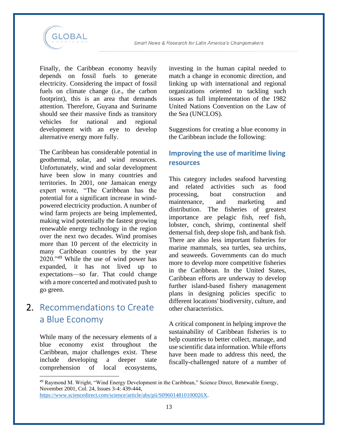

Finally, the Caribbean economy heavily depends on fossil fuels to generate electricity. Considering the impact of fossil fuels on climate change (i.e., the carbon footprint), this is an area that demands attention. Therefore, Guyana and Suriname should see their massive finds as transitory vehicles for national and regional development with an eye to develop alternative energy more fully.

The Caribbean has considerable potential in geothermal, solar, and wind resources. Unfortunately, wind and solar development have been slow in many countries and territories. In 2001, one Jamaican energy expert wrote, "The Caribbean has the potential for a significant increase in windpowered electricity production. A number of wind farm projects are being implemented, making wind potentially the fastest growing renewable energy technology in the region over the next two decades. Wind promises more than 10 percent of the electricity in many Caribbean countries by the year 2020."<sup>49</sup> While the use of wind power has expanded, it has not lived up to expectations—so far. That could change with a more concerted and motivated push to go green.

## 2. Recommendations to Create a Blue Economy

While many of the necessary elements of a blue economy exist throughout the Caribbean, major challenges exist. These include developing a deeper state comprehension of local ecosystems,

investing in the human capital needed to match a change in economic direction, and linking up with international and regional organizations oriented to tackling such issues as full implementation of the 1982 United Nations Convention on the Law of the Sea (UNCLOS).

Suggestions for creating a blue economy in the Caribbean include the following:

#### **Improving the use of maritime living resources**

This category includes seafood harvesting and related activities such as food processing, boat construction and maintenance, and marketing and distribution. The fisheries of greatest importance are pelagic fish, reef fish, lobster, conch, shrimp, continental shelf demersal fish, deep slope fish, and bank fish. There are also less important fisheries for marine mammals, sea turtles, sea urchins, and seaweeds. Governments can do much more to develop more competitive fisheries in the Caribbean. In the United States, Caribbean efforts are underway to develop further island-based fishery management plans in designing policies specific to different locations' biodiversity, culture, and other characteristics.

A critical component in helping improve the sustainability of Caribbean fisheries is to help countries to better collect, manage, and use scientific data information. While efforts have been made to address this need, the fiscally-challenged nature of a number of

<sup>49</sup> Raymond M. Wright, "Wind Energy Development in the Caribbean," Science Direct, Renewable Energy, November 2001, Col. 24, Issues 3-4: 439-444,

[https://www.sciencedirect.com/science/article/abs/pii/S096014810100026X.](https://www.sciencedirect.com/science/article/abs/pii/S096014810100026X)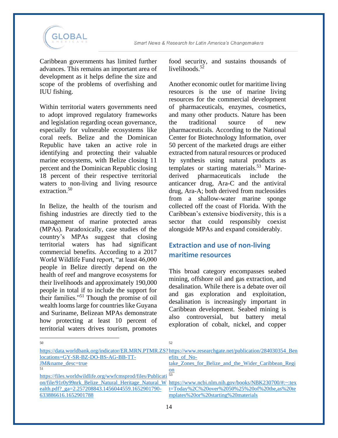

Caribbean governments has limited further advances. This remains an important area of development as it helps define the size and scope of the problems of overfishing and IUU fishing.

Within territorial waters governments need to adopt improved regulatory frameworks and legislation regarding ocean governance, especially for vulnerable ecosystems like coral reefs. Belize and the Dominican Republic have taken an active role in identifying and protecting their valuable marine ecosystems, with Belize closing 11 percent and the Dominican Republic closing 18 percent of their respective territorial waters to non-living and living resource extraction.<sup>50</sup>

In Belize, the health of the tourism and fishing industries are directly tied to the management of marine protected areas (MPAs). Paradoxically, case studies of the country's MPAs suggest that closing territorial waters has had significant commercial benefits. According to a 2017 World Wildlife Fund report, "at least 46,000 people in Belize directly depend on the health of reef and mangrove ecosystems for their livelihoods and approximately 190,000 people in total if to include the support for their families."<sup>51</sup> Though the promise of oil wealth looms large for countries like Guyana and Suriname, Belizean MPAs demonstrate how protecting at least 10 percent of territorial waters drives tourism, promotes

food security, and sustains thousands of livelihoods. $5\frac{5}{2}$ 

Another economic outlet for maritime living resources is the use of marine living resources for the commercial development of pharmaceuticals, enzymes, cosmetics, and many other products. Nature has been the traditional source of new pharmaceuticals. According to the National Center for Biotechnology Information, over 50 percent of the marketed drugs are either extracted from natural resources or produced by synthesis using natural products as templates or starting materials.<sup>53</sup> Marinederived pharmaceuticals include the anticancer drug, Ara-C and the antiviral drug, Ara-A; both derived from nucleosides from a shallow-water marine sponge collected off the coast of Florida. With the Caribbean's extensive biodiversity, this is a sector that could responsibly coexist alongside MPAs and expand considerably.

#### **Extraction and use of non-living maritime resources**

This broad category encompasses seabed mining, offshore oil and gas extraction, and desalination. While there is a debate over oil and gas exploration and exploitation, desalination is increasingly important in Caribbean development. Seabed mining is also controversial, but battery metal exploration of cobalt, nickel, and copper

| .50                                                                      | 52                                                                                                         |
|--------------------------------------------------------------------------|------------------------------------------------------------------------------------------------------------|
|                                                                          | https://data.worldbank.org/indicator/ER.MRN.PTMR.ZS?https://www.researchgate.net/publication/284030354 Ben |
| locations=GY-SR-BZ-DO-BS-AG-BB-TT-                                       | efits of No-                                                                                               |
| JM&name desc=true                                                        | take Zones for Belize and the Wider Caribbean Regi                                                         |
| -51                                                                      | <u>on</u>                                                                                                  |
| https://files.worldwildlife.org/wwfcmsprod/files/Publicati <sup>53</sup> |                                                                                                            |
|                                                                          | on/file/91r0y99nrk Belize Natural Heritage Natural W https://www.ncbi.nlm.nih.gov/books/NBK230700/#:~:tex  |
| ealth.pdf? ga=2.257208843.1456044559.1652901790-                         | $t = Today\%2C\%20over\%2050\%25\%20of\%20the,as\%20te$                                                    |
| 633886616.1652901788                                                     | mplates%20or%20starting%20materials                                                                        |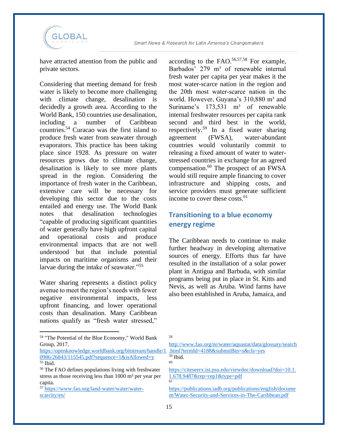

have attracted attention from the public and private sectors.

Considering that meeting demand for fresh water is likely to become more challenging with climate change, desalination is decidedly a growth area. According to the World Bank, 150 countries use desalination, including a number of Caribbean countries.<sup>54</sup> Curacao was the first island to produce fresh water from seawater through evaporators. This practice has been taking place since 1928. As pressure on water resources grows due to climate change, desalination is likely to see more plants spread in the region. Considering the importance of fresh water in the Caribbean, extensive care will be necessary for developing this sector due to the costs entailed and energy use. The World Bank notes that desalination technologies "capable of producing significant quantities of water generally have high upfront capital and operational costs and produce environmental impacts that are not well understood but that include potential impacts on maritime organisms and their larvae during the intake of seawater."<sup>55</sup>

Water sharing represents a distinct policy avenue to meet the region's needs with fewer negative environmental impacts, less upfront financing, and lower operational costs than desalination. Many Caribbean nations qualify as "fresh water stressed,"

<sup>54</sup> "The Potential of the Blue Economy," World Bank Group, 2017,

[https://openknowledge.worldbank.org/bitstream/handle/1](https://openknowledge.worldbank.org/bitstream/handle/10986/26843/115545.pdf?sequence=1&isAllowed=y) [0986/26843/115545.pdf?sequence=1&isAllowed=y](https://openknowledge.worldbank.org/bitstream/handle/10986/26843/115545.pdf?sequence=1&isAllowed=y) <sup>55</sup> Ibid.

according to the FAO. $56,57,58$  For example, Barbados' 279 m<sup>3</sup> of renewable internal fresh water per capita per year makes it the most water-scarce nation in the region and the 20th most water‐scarce nation in the world. However, Guvana's 310,880 m<sup>3</sup> and Suriname's  $173,531$  m<sup>3</sup> of renewable internal freshwater resources per capita rank second and third best in the world, respectively.<sup>59</sup> In a fixed water sharing agreement (FWSA), water-abundant countries would voluntarily commit to releasing a fixed amount of water to waterstressed countries in exchange for an agreed compensation.<sup>60</sup> The prospect of an FWSA would still require ample financing to cover infrastructure and shipping costs, and service providers must generate sufficient income to cover these costs.<sup>61</sup>

#### **Transitioning to a blue economy energy regime**

The Caribbean needs to continue to make further headway in developing alternative sources of energy. Efforts thus far have resulted in the installation of a solar power plant in Antigua and Barbuda, with similar programs being put in place in St. Kitts and Nevis, as well as Aruba. Wind farms have also been established in Aruba, Jamaica, and

58

 $59$  Ibid. 60

[https://citeseerx.ist.psu.edu/viewdoc/download?doi=10.1.](https://citeseerx.ist.psu.edu/viewdoc/download?doi=10.1.1.678.9487&rep=rep1&type=pdf) [1.678.9487&rep=rep1&type=pdf](https://citeseerx.ist.psu.edu/viewdoc/download?doi=10.1.1.678.9487&rep=rep1&type=pdf) 61

[https://publications.iadb.org/publications/english/docume](https://publications.iadb.org/publications/english/document/Water-Security-and-Services-in-The-Caribbean.pdf) [nt/Water-Security-and-Services-in-The-Caribbean.pdf](https://publications.iadb.org/publications/english/document/Water-Security-and-Services-in-The-Caribbean.pdf)

<sup>56</sup> The FAO defines populations living with freshwater stress as those receiving less than  $1000 \text{ m}^3$  per year per capita.

<sup>57</sup> [https://www.fao.org/land-water/water/water](https://www.fao.org/land-water/water/water-scarcity/en/)[scarcity/en/](https://www.fao.org/land-water/water/water-scarcity/en/)

[http://www.fao.org/nr/water/aquastat/data/glossary/search](http://www.fao.org/nr/water/aquastat/data/glossary/search.html?termId=4188&submitBtn=s&cls=yes) [.html?termId=4188&submitBtn=s&cls=yes](http://www.fao.org/nr/water/aquastat/data/glossary/search.html?termId=4188&submitBtn=s&cls=yes)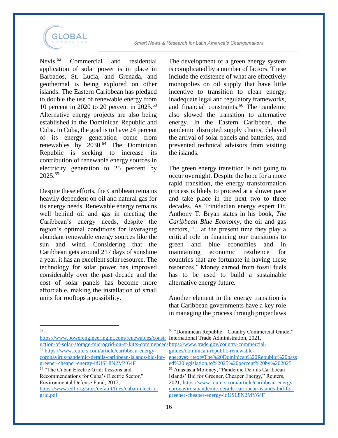

Nevis.<sup>62</sup> Commercial and residential application of solar power is in place in Barbados, St. Lucia, and Grenada, and geothermal is being explored on other islands. The Eastern Caribbean has pledged to double the use of renewable energy from 10 percent in 2020 to 20 percent in 2025.<sup>63</sup> Alternative energy projects are also being established in the Dominican Republic and Cuba. In Cuba, the goal is to have 24 percent of its energy generation come from renewables by  $2030.<sup>64</sup>$  The Dominican Republic is seeking to increase its contribution of renewable energy sources in electricity generation to 25 percent by 2025.<sup>65</sup>

Despite these efforts, the Caribbean remains heavily dependent on oil and natural gas for its energy needs. Renewable energy remains well behind oil and gas in meeting the Caribbean's energy needs, despite the region's optimal conditions for leveraging abundant renewable energy sources like the sun and wind. Considering that the Caribbean gets around 217 days of sunshine a year, it has an excellent solar resource. The technology for solar power has improved considerably over the past decade and the cost of solar panels has become more affordable, making the installation of small units for rooftops a possibility.

The development of a green energy system is complicated by a number of factors. These include the existence of what are effectively monopolies on oil supply that have little incentive to transition to clean energy, inadequate legal and regulatory frameworks, and financial constraints.<sup>66</sup> The pandemic also slowed the transition to alternative energy. In the Eastern Caribbean, the pandemic disrupted supply chains, delayed the arrival of solar panels and batteries, and prevented technical advisors from visiting the islands.

The green energy transition is not going to occur overnight. Despite the hope for a more rapid transition, the energy transformation process is likely to proceed at a slower pace and take place in the next two to three decades. As Trinidadian energy expert Dr. Anthony T. Bryan states in his book, *The Caribbean Blue Economy*, the oil and gas sectors, "…at the present time they play a critical role in financing our transitions to green and blue economies and in maintaining economic resilience for countries that are fortunate in having these resources." Money earned from fossil fuels has to be used to build a sustainable alternative energy future.

Another element in the energy transition is that Caribbean governments have a key role in managing the process through proper laws

62

[https://www.powerengineeringint.com/renewables/constr](https://www.powerengineeringint.com/renewables/construction-of-solar-storage-microgrid-on-st-kitts-commenced/) International Trade Administration, 2021, <sup>65</sup> "Dominican Republic – Country Commercial Guide,"

> Islands' Bid for Greener, Cheaper Energy," Reuters, 2021, [https://www.reuters.com/article/caribbean-energy](https://www.reuters.com/article/caribbean-energy-coronavirus/pandemic-derails-caribbean-islands-bid-for-greener-cheaper-energy-idUSL8N2MY64F)[coronavirus/pandemic-derails-caribbean-islands-bid-for-](https://www.reuters.com/article/caribbean-energy-coronavirus/pandemic-derails-caribbean-islands-bid-for-greener-cheaper-energy-idUSL8N2MY64F)

[greener-cheaper-energy-idUSL8N2MY64F](https://www.reuters.com/article/caribbean-energy-coronavirus/pandemic-derails-caribbean-islands-bid-for-greener-cheaper-energy-idUSL8N2MY64F)

[uction-of-solar-storage-microgrid-on-st-kitts-commenced/](https://www.powerengineeringint.com/renewables/construction-of-solar-storage-microgrid-on-st-kitts-commenced/) [https://www.trade.gov/country-commercial-](https://www.trade.gov/country-commercial-guides/dominican-republic-renewable-energy#:~:text=The%20Dominican%20Republic%20passed%20legislation,to%2025%20percent%20by%202025)<sup>63</sup> [https://www.reuters.com/article/caribbean-energy](https://www.reuters.com/article/caribbean-energy-coronavirus/pandemic-derails-caribbean-islands-bid-for-greener-cheaper-energy-idUSL8N2MY64F)[coronavirus/pandemic-derails-caribbean-islands-bid-for](https://www.reuters.com/article/caribbean-energy-coronavirus/pandemic-derails-caribbean-islands-bid-for-greener-cheaper-energy-idUSL8N2MY64F)[greener-cheaper-energy-idUSL8N2MY64F](https://www.reuters.com/article/caribbean-energy-coronavirus/pandemic-derails-caribbean-islands-bid-for-greener-cheaper-energy-idUSL8N2MY64F) [guides/dominican-republic-renewable](https://www.trade.gov/country-commercial-guides/dominican-republic-renewable-energy#:~:text=The%20Dominican%20Republic%20passed%20legislation,to%2025%20percent%20by%202025)[energy#:~:text=The%20Dominican%20Republic%20pass](https://www.trade.gov/country-commercial-guides/dominican-republic-renewable-energy#:~:text=The%20Dominican%20Republic%20passed%20legislation,to%2025%20percent%20by%202025) [ed%20legislation,to%2025%20percent%20by%202025](https://www.trade.gov/country-commercial-guides/dominican-republic-renewable-energy#:~:text=The%20Dominican%20Republic%20passed%20legislation,to%2025%20percent%20by%202025) <sup>66</sup> Anastasia Moloney, "Pandemic Derails Caribbean

<sup>&</sup>lt;sup>64</sup> "The Cuban Electric Grid: Lessons and Recommendations for Cuba's Electric Sector," Environmental Defense Fund, 2017,

[https://www.edf.org/sites/default/files/cuban-electric](https://www.edf.org/sites/default/files/cuban-electric-grid.pdf)[grid.pdf](https://www.edf.org/sites/default/files/cuban-electric-grid.pdf)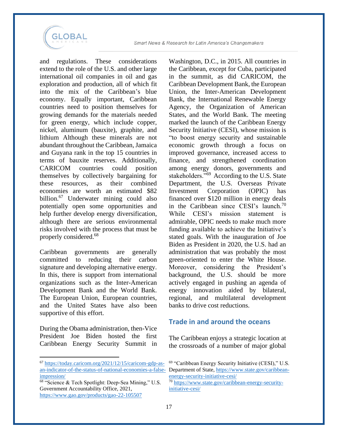

and regulations. These considerations extend to the role of the U.S. and other large international oil companies in oil and gas exploration and production, all of which fit into the mix of the Caribbean's blue economy. Equally important, Caribbean countries need to position themselves for growing demands for the materials needed for green energy, which include copper, nickel, aluminum (bauxite), graphite, and lithium Although these minerals are not abundant throughout the Caribbean, Jamaica and Guyana rank in the top 15 countries in terms of bauxite reserves. Additionally, CARICOM countries could position themselves by collectively bargaining for these resources, as their combined economies are worth an estimated \$82 billion.<sup>67</sup> Underwater mining could also potentially open some opportunities and help further develop energy diversification, although there are serious environmental risks involved with the process that must be properly considered. 68

Caribbean governments are generally committed to reducing their carbon signature and developing alternative energy. In this, there is support from international organizations such as the Inter-American Development Bank and the World Bank. The European Union, European countries, and the United States have also been supportive of this effort.

During the Obama administration, then-Vice President Joe Biden hosted the first Caribbean Energy Security Summit in

Washington, D.C., in 2015. All countries in the Caribbean, except for Cuba, participated in the summit, as did CARICOM, the Caribbean Development Bank, the European Union, the Inter-American Development Bank, the International Renewable Energy Agency, the Organization of American States, and the World Bank. The meeting marked the launch of the Caribbean Energy Security Initiative (CESI), whose mission is "to boost energy security and sustainable economic growth through a focus on improved governance, increased access to finance, and strengthened coordination among energy donors, governments and stakeholders."<sup>69</sup> According to the U.S. State Department, the U.S. Overseas Private Investment Corporation (OPIC) has financed over \$120 million in energy deals in the Caribbean since CESI's launch.<sup>70</sup> While CESI's mission statement is admirable, OPIC needs to make much more funding available to achieve the Initiative's stated goals. With the inauguration of Joe Biden as President in 2020, the U.S. had an administration that was probably the most green-oriented to enter the White House. Moreover, considering the President's background, the U.S. should be more actively engaged in pushing an agenda of energy innovation aided by bilateral, regional, and multilateral development banks to drive cost reductions.

#### **Trade in and around the oceans**

The Caribbean enjoys a strategic location at the crossroads of a number of major global

<sup>67</sup> [https://today.caricom.org/2021/12/15/caricom-gdp-as](https://today.caricom.org/2021/12/15/caricom-gdp-as-an-indicator-of-the-status-of-national-economies-a-false-impression/)[an-indicator-of-the-status-of-national-economies-a-false](https://today.caricom.org/2021/12/15/caricom-gdp-as-an-indicator-of-the-status-of-national-economies-a-false-impression/)[impression/](https://today.caricom.org/2021/12/15/caricom-gdp-as-an-indicator-of-the-status-of-national-economies-a-false-impression/)

<sup>68</sup> "Science & Tech Spotlight: Deep-Sea Mining," U.S. Government Accountability Office, 2021, <https://www.gao.gov/products/gao-22-105507>

<sup>69</sup> "Caribbean Energy Security Initiative (CESI)," U.S. Department of State[, https://www.state.gov/caribbean](https://www.state.gov/caribbean-energy-security-initiative-cesi/)[energy-security-initiative-cesi/](https://www.state.gov/caribbean-energy-security-initiative-cesi/)

<sup>70</sup> https://ww<u>w.state.gov/caribbean-energy-security-</u> [initiative-cesi/](https://www.state.gov/caribbean-energy-security-initiative-cesi/)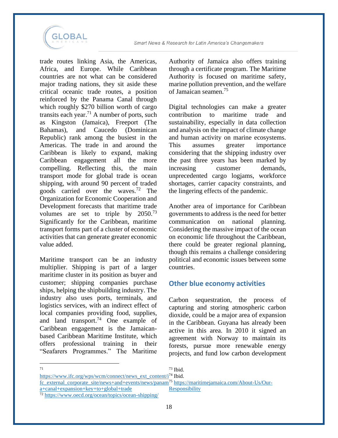

trade routes linking Asia, the Americas, Africa, and Europe. While Caribbean countries are not what can be considered major trading nations, they sit aside these critical oceanic trade routes, a position reinforced by the Panama Canal through which roughly \$270 billion worth of cargo transits each year.<sup>71</sup> A number of ports, such as Kingston (Jamaica), Freeport (The Bahamas), and Caucedo (Dominican Republic) rank among the busiest in the Americas. The trade in and around the Caribbean is likely to expand, making Caribbean engagement all the more compelling. Reflecting this, the main transport mode for global trade is ocean shipping, with around 90 percent of traded goods carried over the waves.<sup>72</sup> The Organization for Economic Cooperation and Development forecasts that maritime trade volumes are set to triple by  $2050^{73}$ Significantly for the Caribbean, maritime transport forms part of a cluster of economic activities that can generate greater economic value added.

Maritime transport can be an industry multiplier. Shipping is part of a larger maritime cluster in its position as buyer and customer; shipping companies purchase ships, helping the shipbuilding industry. The industry also uses ports, terminals, and logistics services, with an indirect effect of local companies providing food, supplies, and land transport.<sup>74</sup> One example of Caribbean engagement is the Jamaicanbased Caribbean Maritime Institute, which offers professional training in their "Seafarers Programmes." The Maritime

Authority of Jamaica also offers training through a certificate program. The Maritime Authority is focused on maritime safety, marine pollution prevention, and the welfare of Jamaican seamen.<sup>75</sup>

Digital technologies can make a greater contribution to maritime trade and sustainability, especially in data collection and analysis on the impact of climate change and human activity on marine ecosystems. This assumes greater importance considering that the shipping industry over the past three years has been marked by increasing customer demands, unprecedented cargo logjams, workforce shortages, carrier capacity constraints, and the lingering effects of the pandemic.

Another area of importance for Caribbean governments to address is the need for better communication on national planning. Considering the massive impact of the ocean on economic life throughout the Caribbean, there could be greater regional planning, though this remains a challenge considering political and economic issues between some countries.

#### **Other blue economy activities**

Carbon sequestration, the process of capturing and storing atmospheric carbon dioxide, could be a major area of expansion in the Caribbean. Guyana has already been active in this area. In 2010 it signed an agreement with Norway to maintain its forests, pursue more renewable energy projects, and fund low carbon development

71

 $73$  Ibid.

[https://www.ifc.org/wps/wcm/connect/news\\_ext\\_content/i](https://www.ifc.org/wps/wcm/connect/news_ext_content/ifc_external_corporate_site/news+and+events/news/panama+canal+expansion+key+to+global+trade)<sup>74</sup> Ibid. [fc\\_external\\_corporate\\_site/news+and+events/news/panam](https://www.ifc.org/wps/wcm/connect/news_ext_content/ifc_external_corporate_site/news+and+events/news/panama+canal+expansion+key+to+global+trade) <sup>75</sup> [https://maritimejamaica.com/About-Us/Our](https://maritimejamaica.com/About-Us/Our-Responsibility)[a+canal+expansion+key+to+global+trade](https://www.ifc.org/wps/wcm/connect/news_ext_content/ifc_external_corporate_site/news+and+events/news/panama+canal+expansion+key+to+global+trade) [Responsibility](https://maritimejamaica.com/About-Us/Our-Responsibility)

<sup>72</sup> <https://www.oecd.org/ocean/topics/ocean-shipping/>